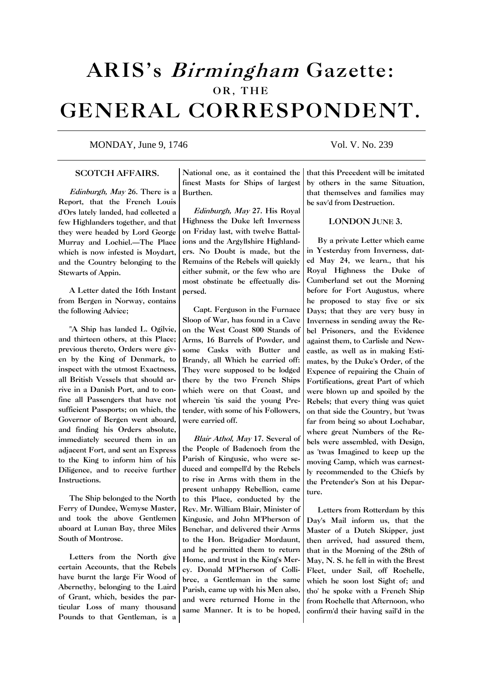# ARIS's Birmingham Gazette: OR, THE GENERAL CORRESPONDENT.

# MONDAY, June 9, 1746 Vol. V. No. 239

## SCOTCH AFFAIRS.

Edinburgh, May 26. There is a Report, that the French Louis d'Ors lately landed, had collected a few Highlanders together, and that they were headed by Lord George Murray and Lochiel.—The Place which is now infested is Moydart, and the Country belonging to the Stewarts of Appin.

A Letter dated the 16th Instant from Bergen in Norway, contains the following Advice;

"A Ship has landed L. Ogilvie, and thirteen others, at this Place; previous thereto, Orders were given by the King of Denmark, to inspect with the utmost Exactness, all British Vessels that should arrive in a Danish Port, and to confine all Passengers that have not sufficient Passports; on which, the Governor of Bergen went aboard, and finding his Orders absolute, immediately secured them in an adjacent Fort, and sent an Express to the King to inform him of his Diligence, and to receive further Instructions.

The Ship belonged to the North Ferry of Dundee, Wemyse Master, and took the above Gentlemen aboard at Lunan Bay, three Miles South of Montrose.

Letters from the North give certain Accounts, that the Rebels have burnt the large Fir Wood of Abernethy, belonging to the Laird of Grant, which, besides the particular Loss of many thousand Pounds to that Gentleman, is a

National one, as it contained the finest Masts for Ships of largest Burthen.

Edinburgh, May 27. His Royal Highness the Duke left Inverness on Friday last, with twelve Battalions and the Argyllshire Highlanders. No Doubt is made, but the Remains of the Rebels will quickly either submit, or the few who are most obstinate be effectually dispersed.

Capt. Ferguson in the Furnace Sloop of War, has found in a Cave on the West Coast 800 Stands of Arms, 16 Barrels of Powder, and some Casks with Butter and Brandy, all Which he carried off: They were supposed to be lodged there by the two French Ships which were on that Coast, and wherein 'tis said the young Pretender, with some of his Followers, were carried off.

Blair Athol, May 17. Several of the People of Badenoch from the Parish of Kingusie, who were seduced and compell'd by the Rebels to rise in Arms with them in the present unhappy Rebellion, came to this Place, conducted by the Rev. Mr. William Blair, Minister of Kingusie, and John M'Pherson of Benchar, and delivered their Arms to the Hon. Brigadier Mordaunt, and he permitted them to return Home, and trust in the King's Mercy. Donald M'Pherson of Collibree, a Gentleman in the same Parish, came up with his Men also, and were returned Home in the same Manner. It is to be hoped,

that this Precedent will be imitated by others in the same Situation, that themselves and families may be sav'd from Destruction.

### LONDON JUNE 3.

By a private Letter which came in Yesterday from Inverness, dated May 24, we learn., that his Royal Highness the Duke of Cumberland set out the Morning before for Fort Augustus, where he proposed to stay five or six Days; that they are very busy in Inverness in sending away the Rebel Prisoners, and the Evidence against them, to Carlisle and Newcastle, as well as in making Estimates, by the Duke's Order, of the Expence of repairing the Chain of Fortifications, great Part of which were blown up and spoiled by the Rebels; that every thing was quiet on that side the Country, but 'twas far from being so about Lochabar, where great Numbers of the Rebels were assembled, with Design, as 'twas Imagined to keep up the moving Camp, which was earnestly recommended to the Chiefs by the Pretender's Son at his Departure.

Letters from Rotterdam by this Day's Mail inform us, that the Master of a Dutch Skipper, just then arrived, had assured them, that in the Morning of the 28th of May, N. S. he fell in with the Brest Fleet, under Sail, off Rochelle, which he soon lost Sight of; and tho' he spoke with a French Ship from Rochelle that Afternoon, who confirm'd their having sail'd in the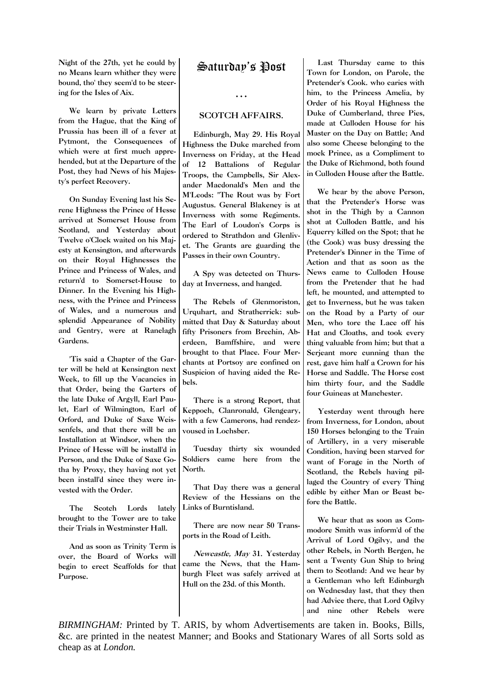Night of the 27th, yet he could by no Means learn whither they were bound, tho' they seem'd to be steering for the Isles of Aix.

We learn by private Letters from the Hague, that the King of Prussia has been ill of a fever at Pytmont, the Consequences of which were at first much apprehended, but at the Departure of the Post, they had News of his Majesty's perfect Recovery.

On Sunday Evening last his Serene Highness the Prince of Hesse arrived at Somerset House from Scotland, and Yesterday about Twelve o'Clock waited on his Majesty at Kensington, and afterwards on their Royal Highnesses the Prince and Princess of Wales, and return'd to Somerset-House to Dinner. In the Evening his Highness, with the Prince and Princess of Wales, and a numerous and splendid Appearance of Nobility and Gentry, were at Ranelagh Gardens.

'Tis said a Chapter of the Garter will be held at Kensington next Week, to fill up the Vacancies in that Order, being the Garters of the late Duke of Argyll, Earl Paulet, Earl of Wilmington, Earl of Orford, and Duke of Saxe Weissenfels, and that there will be an Installation at Windsor, when the Prince of Hesse will be install'd in Person, and the Duke of Saxe Gotha by Proxy, they having not yet been install'd since they were invested with the Order.

The Scotch Lords lately brought to the Tower are to take their Trials in Westminster Hall.

And as soon as Trinity Term is over, the Board of Works will begin to erect Scaffolds for that Purpose.

# Saturday's Post

#### …

## SCOTCH AFFAIRS.

Edinburgh, May 29. His Royal Highness the Duke marched from Inverness on Friday, at the Head of 12 Battalions of Regular Troops, the Campbells, Sir Alexander Macdonald's Men and the M'Leods: "The Rout was by Fort Augustus. General Blakeney is at Inverness with some Regiments. The Earl of Loudon's Corps is ordered to Strathdon and Glenlivet. The Grants are guarding the Passes in their own Country.

A Spy was detected on Thursday at Inverness, and hanged.

The Rebels of Glenmoriston, Urquhart, and Stratherrick: submitted that Day & Saturday about fifty Prisoners from Brechin, Aberdeen, Bamffshire, and were brought to that Place. Four Merchants at Portsoy are confined on Suspicion of having aided the Rebels.

There is a strong Report, that Keppoch, Clanronald, Glengeary, with a few Camerons, had rendezvoused in Lochsber.

Tuesday thirty six wounded Soldiers came here from the North.

That Day there was a general Review of the Hessians on the Links of Burntisland.

There are now near 50 Transports in the Road of Leith.

Newcastle, May 31. Yesterday came the News, that the Hamburgh Fleet was safely arrived at Hull on the 23d. of this Month.

Last Thursday came to this Town for London, on Parole, the Pretender's Cook. who caries with him, to the Princess Amelia, by Order of his Royal Highness the Duke of Cumberland, three Pies, made at Culloden House for his Master on the Day on Battle; And also some Cheese belonging to the mock Prince, as a Compliment to the Duke of Richmond, both found in Culloden House after the Battle.

We hear by the above Person, that the Pretender's Horse was shot in the Thigh by a Cannon shot at Culloden Battle, and his Equerry killed on the Spot; that he (the Cook) was busy dressing the Pretender's Dinner in the Time of Action and that as soon as the News came to Culloden House from the Pretender that he had left, he mounted, and attempted to get to Inverness, but he was taken on the Road by a Party of our Men, who tore the Lace off his Hat and Cloaths, and took every thing valuable from him; but that a Serjeant more cunning than the rest, gave him half a Crown for his Horse and Saddle. The Horse cost him thirty four, and the Saddle four Guineas at Manchester.

Yesterday went through here from Inverness, for London, about 150 Horses belonging to the Train of Artillery, in a very miserable Condition, having been starved for want of Forage in the North of Scotland, the Rebels having pillaged the Country of every Thing edible by either Man or Beast before the Battle.

We hear that as soon as Commodore Smith was inform'd of the Arrival of Lord Ogilvy, and the other Rebels, in North Bergen, he sent a Twenty Gun Ship to bring them to Scotland: And we hear by a Gentleman who left Edinburgh on Wednesday last, that they then had Advice there, that Lord Ogilvy and nine other Rebels were

*BIRMINGHAM:* Printed by T. ARIS, by whom Advertisements are taken in. Books, Bills, &c. are printed in the neatest Manner; and Books and Stationary Wares of all Sorts sold as cheap as at *London.*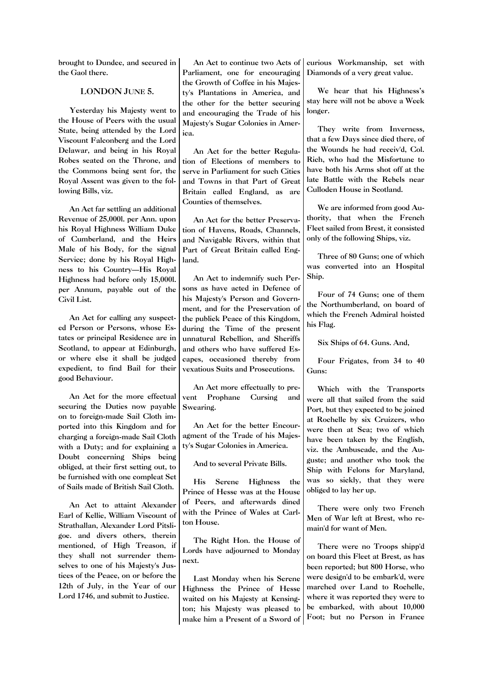brought to Dundee, and secured in the Gaol there.

LONDON JUNE 5.

Yesterday his Majesty went to the House of Peers with the usual State, being attended by the Lord Viscount Falconberg and the Lord Delawar, and being in his Royal Robes seated on the Throne, and the Commons being sent for, the Royal Assent was given to the following Bills, viz.

An Act far settling an additional Revenue of 25,000l. per Ann. upon his Royal Highness William Duke of Cumberland, and the Heirs Male of his Body, for the signal Service; done by his Royal Highness to his Country—His Royal Highness had before only 15,000l. per Annum, payable out of the Civil List.

An Act for calling any suspected Person or Persons, whose Estates or principal Residence are in Scotland, to appear at Edinburgh, or where else it shall be judged expedient, to find Bail for their good Behaviour.

An Act for the more effectual securing the Duties now payable on to foreign-made Sail Cloth imported into this Kingdom and for charging a foreign-made Sail Cloth with a Duty; and for explaining a Doubt concerning Ships being obliged, at their first setting out, to be furnished with one compleat Set of Sails made of British Sail Cloth.

An Act to attaint Alexander Earl of Kellie, William Viscount of Strathallan, Alexander Lord Pitsligoe. and divers others, therein mentioned, of High Treason, if they shall not surrender themselves to one of his Majesty's Justices of the Peace, on or before the 12th of July, in the Year of our Lord 1746, and submit to Justice.

An Act to continue two Acts of Parliament, one for encouraging the Growth of Coffee in his Majesty's Plantations in America, and the other for the better securing and encouraging the Trade of his Majesty's Sugar Colonies in America.

An Act for the better Regulation of Elections of members to serve in Parliament for such Cities and Towns in that Part of Great Britain called England, as are Counties of themselves.

An Act for the better Preservation of Havens, Roads, Channels, and Navigable Rivers, within that Part of Great Britain called England.

An Act to indemnify such Persons as have acted in Defence of his Majesty's Person and Government, and for the Preservation of the publick Peace of this Kingdom, during the Time of the present unnatural Rebellion, and Sheriffs and others who have suffered Escapes, occasioned thereby from vexatious Suits and Prosecutions.

An Act more effectually to prevent Prophane Cursing and Swearing.

An Act for the better Encouragment of the Trade of his Majesty's Sugar Colonies in America.

And to several Private Bills.

His Serene Highness the Prince of Hesse was at the House of Peers, and afterwards dined with the Prince of Wales at Carlton House.

The Right Hon. the House of Lords have adjourned to Monday next.

Last Monday when his Serene Highness the Prince of Hesse waited on his Majesty at Kensington; his Majesty was pleased to make him a Present of a Sword of

curious Workmanship, set with Diamonds of a very great value.

We hear that his Highness's stay here will not be above a Week longer.

They write from Inverness, that a few Days since died there, of the Wounds he had receiv'd, Col. Rich, who had the Misfortune to have both his Arms shot off at the late Battle with the Rebels near Culloden House in Scotland.

We are informed from good Authority, that when the French Fleet sailed from Brest, it consisted only of the following Ships, viz.

Three of 80 Guns; one of which was converted into an Hospital Ship.

Four of 74 Guns; one of them the Northumberland, on board of which the French Admiral hoisted his Flag.

Six Ships of 64. Guns. And,

Four Frigates, from 34 to 40 Guns:

Which with the Transports were all that sailed from the said Port, but they expected to be joined at Rochelle by six Cruizers, who were then at Sea; two of which have been taken by the English, viz. the Ambuscade, and the Auguste; and another who took the Ship with Felons for Maryland, was so sickly, that they were obliged to lay her up.

There were only two French Men of War left at Brest, who remain'd for want of Men.

There were no Troops shipp'd on board this Fleet at Brest, as has been reported; but 800 Horse, who were design'd to be embark'd, were marched over Land to Rochelle, where it was reported they were to be embarked, with about 10,000 Foot; but no Person in France